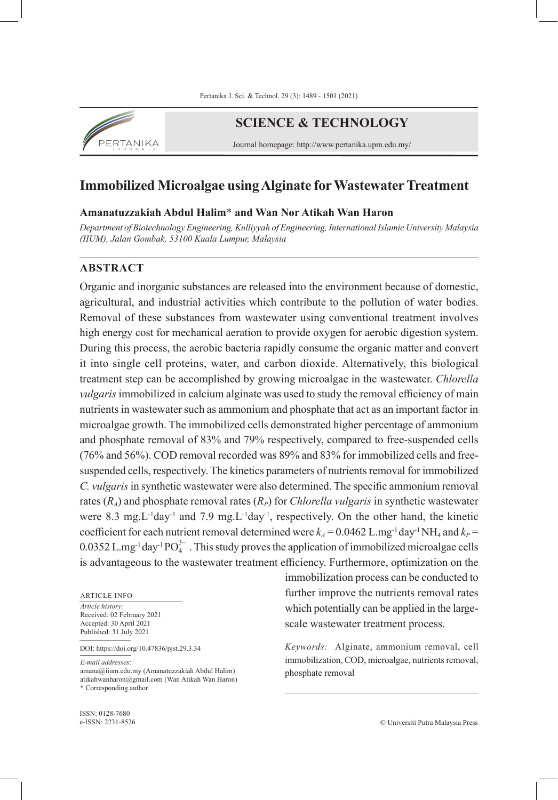

# **SCIENCE & TECHNOLOGY**

Journal homepage: http://www.pertanika.upm.edu.my/

# **Immobilized Microalgae using Alginate for Wastewater Treatment**

# **Amanatuzzakiah Abdul Halim**\* **and Wan Nor Atikah Wan Haron**

*Department of Biotechnology Engineering, Kulliyyah of Engineering, International Islamic University Malaysia (IIUM), Jalan Gombak, 53100 Kuala Lumpur, Malaysia*

# **ABSTRACT**

Organic and inorganic substances are released into the environment because of domestic, agricultural, and industrial activities which contribute to the pollution of water bodies. Removal of these substances from wastewater using conventional treatment involves high energy cost for mechanical aeration to provide oxygen for aerobic digestion system. During this process, the aerobic bacteria rapidly consume the organic matter and convert it into single cell proteins, water, and carbon dioxide. Alternatively, this biological treatment step can be accomplished by growing microalgae in the wastewater. *Chlorella vulgaris* immobilized in calcium alginate was used to study the removal efficiency of main nutrients in wastewater such as ammonium and phosphate that act as an important factor in microalgae growth. The immobilized cells demonstrated higher percentage of ammonium and phosphate removal of 83% and 79% respectively, compared to free-suspended cells (76% and 56%). COD removal recorded was 89% and 83% for immobilized cells and freesuspended cells, respectively. The kinetics parameters of nutrients removal for immobilized *C. vulgaris* in synthetic wastewater were also determined. The specific ammonium removal rates  $(R_A)$  and phosphate removal rates  $(R_P)$  for *Chlorella vulgaris* in synthetic wastewater were 8.3 mg. L<sup>-1</sup>day<sup>-1</sup> and 7.9 mg. L<sup>-1</sup>day<sup>-1</sup>, respectively. On the other hand, the kinetic coefficient for each nutrient removal determined were  $k_A = 0.0462$  L.mg<sup>-1</sup> day<sup>-1</sup> NH<sub>4</sub> and  $k_P =$  $0.0352$  L.mg<sup>-1</sup> day<sup>-1</sup> PO<sub>4</sub><sup>3</sup>. This study proves the application of immobilized microalgae cells is advantageous to the wastewater treatment efficiency. Furthermore, optimization on the

ARTICLE INFO

*Article history:* Received: 02 February 2021 Accepted: 30 April 2021 Published: 31 July 2021

DOI: https://doi.org/10.47836/pjst.29.3.34

*E-mail addresses*:

amana@iium.edu.my (Amanatuzzakiah Abdul Halim) atikahwanharon@gmail.com (Wan Atikah Wan Haron) \* Corresponding author

immobilization process can be conducted to further improve the nutrients removal rates which potentially can be applied in the largescale wastewater treatment process.

*Keywords:* Alginate, ammonium removal, cell immobilization, COD, microalgae, nutrients removal, phosphate removal

ISSN: 0128-7680 e-ISSN: 2231-8526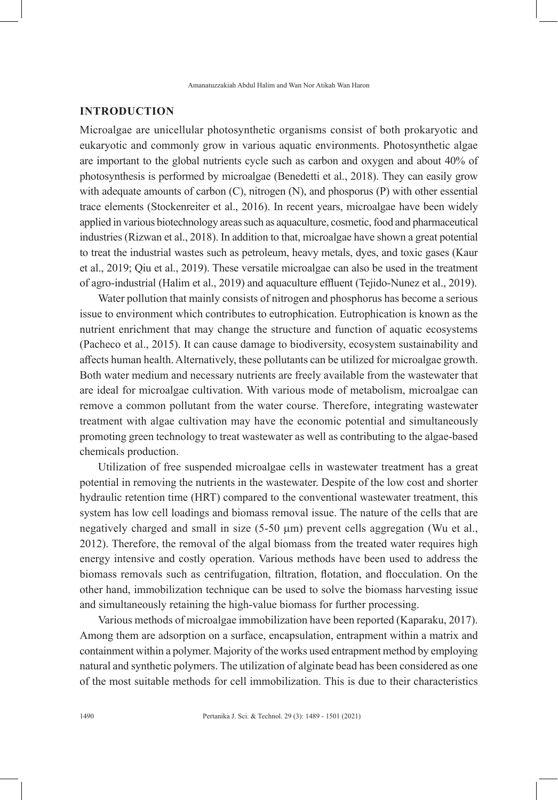# **INTRODUCTION**

Microalgae are unicellular photosynthetic organisms consist of both prokaryotic and eukaryotic and commonly grow in various aquatic environments. Photosynthetic algae are important to the global nutrients cycle such as carbon and oxygen and about 40% of photosynthesis is performed by microalgae (Benedetti et al., 2018). They can easily grow with adequate amounts of carbon (C), nitrogen (N), and phosporus (P) with other essential trace elements (Stockenreiter et al., 2016). In recent years, microalgae have been widely applied in various biotechnology areas such as aquaculture, cosmetic, food and pharmaceutical industries (Rizwan et al., 2018). In addition to that, microalgae have shown a great potential to treat the industrial wastes such as petroleum, heavy metals, dyes, and toxic gases (Kaur et al., 2019; Qiu et al., 2019). These versatile microalgae can also be used in the treatment of agro-industrial (Halim et al., 2019) and aquaculture effluent (Tejido-Nunez et al., 2019).

Water pollution that mainly consists of nitrogen and phosphorus has become a serious issue to environment which contributes to eutrophication. Eutrophication is known as the nutrient enrichment that may change the structure and function of aquatic ecosystems (Pacheco et al., 2015). It can cause damage to biodiversity, ecosystem sustainability and affects human health. Alternatively, these pollutants can be utilized for microalgae growth. Both water medium and necessary nutrients are freely available from the wastewater that are ideal for microalgae cultivation. With various mode of metabolism, microalgae can remove a common pollutant from the water course. Therefore, integrating wastewater treatment with algae cultivation may have the economic potential and simultaneously promoting green technology to treat wastewater as well as contributing to the algae-based chemicals production.

Utilization of free suspended microalgae cells in wastewater treatment has a great potential in removing the nutrients in the wastewater. Despite of the low cost and shorter hydraulic retention time (HRT) compared to the conventional wastewater treatment, this system has low cell loadings and biomass removal issue. The nature of the cells that are negatively charged and small in size (5-50 µm) prevent cells aggregation (Wu et al., 2012). Therefore, the removal of the algal biomass from the treated water requires high energy intensive and costly operation. Various methods have been used to address the biomass removals such as centrifugation, filtration, flotation, and flocculation. On the other hand, immobilization technique can be used to solve the biomass harvesting issue and simultaneously retaining the high-value biomass for further processing.

Various methods of microalgae immobilization have been reported (Kaparaku, 2017). Among them are adsorption on a surface, encapsulation, entrapment within a matrix and containment within a polymer. Majority of the works used entrapment method by employing natural and synthetic polymers. The utilization of alginate bead has been considered as one of the most suitable methods for cell immobilization. This is due to their characteristics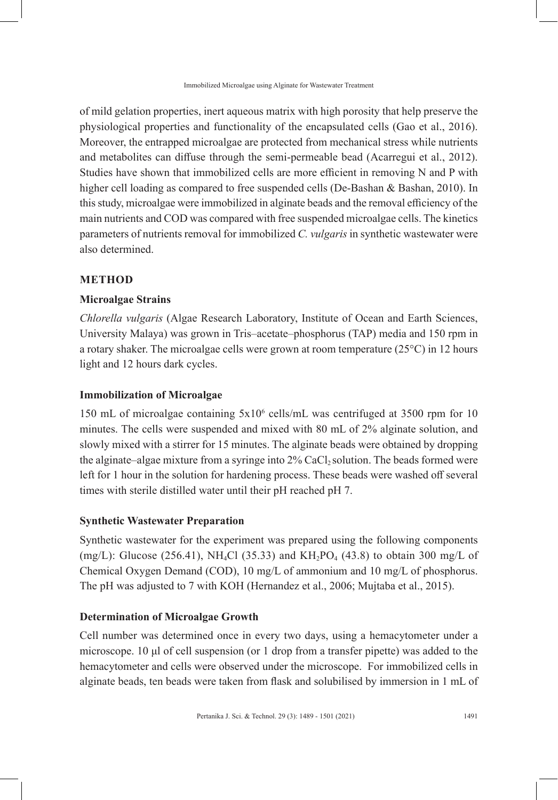of mild gelation properties, inert aqueous matrix with high porosity that help preserve the physiological properties and functionality of the encapsulated cells (Gao et al., 2016). Moreover, the entrapped microalgae are protected from mechanical stress while nutrients and metabolites can diffuse through the semi-permeable bead (Acarregui et al., 2012). Studies have shown that immobilized cells are more efficient in removing N and P with higher cell loading as compared to free suspended cells (De-Bashan & Bashan, 2010). In this study, microalgae were immobilized in alginate beads and the removal efficiency of the main nutrients and COD was compared with free suspended microalgae cells. The kinetics parameters of nutrients removal for immobilized *C. vulgaris* in synthetic wastewater were also determined.

# **METHOD**

## **Microalgae Strains**

*Chlorella vulgaris* (Algae Research Laboratory, Institute of Ocean and Earth Sciences, University Malaya) was grown in Tris–acetate–phosphorus (TAP) media and 150 rpm in a rotary shaker. The microalgae cells were grown at room temperature  $(25^{\circ}C)$  in 12 hours light and 12 hours dark cycles.

# **Immobilization of Microalgae**

150 mL of microalgae containing 5x10<sup>6</sup> cells/mL was centrifuged at 3500 rpm for 10 minutes. The cells were suspended and mixed with 80 mL of 2% alginate solution, and slowly mixed with a stirrer for 15 minutes. The alginate beads were obtained by dropping the alginate–algae mixture from a syringe into  $2\%$  CaCl<sub>2</sub> solution. The beads formed were left for 1 hour in the solution for hardening process. These beads were washed off several times with sterile distilled water until their pH reached pH 7.

#### **Synthetic Wastewater Preparation**

Synthetic wastewater for the experiment was prepared using the following components (mg/L): Glucose (256.41), NH<sub>4</sub>Cl (35.33) and KH<sub>2</sub>PO<sub>4</sub> (43.8) to obtain 300 mg/L of Chemical Oxygen Demand (COD), 10 mg/L of ammonium and 10 mg/L of phosphorus. The pH was adjusted to 7 with KOH (Hernandez et al., 2006; Mujtaba et al., 2015).

# **Determination of Microalgae Growth**

Cell number was determined once in every two days, using a hemacytometer under a microscope. 10 μl of cell suspension (or 1 drop from a transfer pipette) was added to the hemacytometer and cells were observed under the microscope. For immobilized cells in alginate beads, ten beads were taken from flask and solubilised by immersion in 1 mL of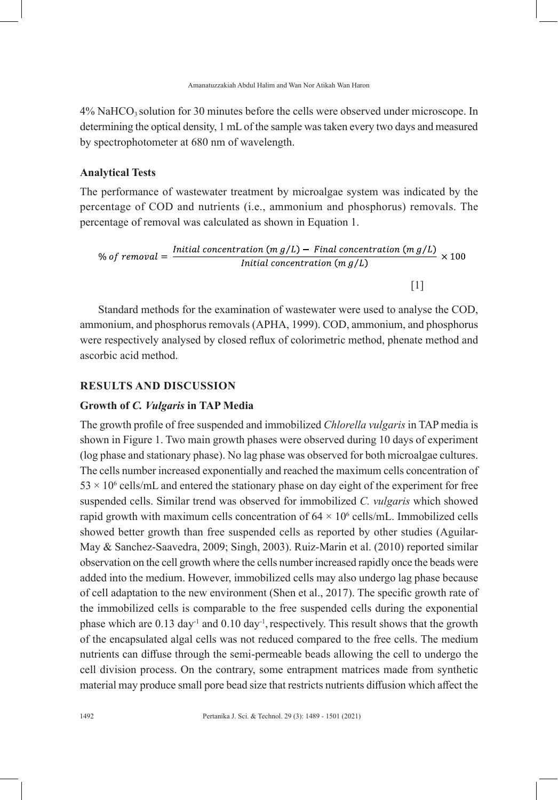$4\%$  NaHCO<sub>3</sub> solution for 30 minutes before the cells were observed under microscope. In determining the optical density, 1 mL of the sample was taken every two days and measured by spectrophotometer at 680 nm of wavelength.

# **Analytical Tests**

The performance of wastewater treatment by microalgae system was indicated by the percentage of COD and nutrients (i.e., ammonium and phosphorus) removals. The percentage of removal was calculated as shown in Equation 1.

% of removal = 
$$
\frac{Initial\ concentration\ (m\ g/L) - Final\ concentration\ (m\ g/L)}{Initial\ concentration\ (m\ g/L)} \times 100
$$

 $[1]$ 

Standard methods for the examination of wastewater were used to analyse the COD, ammonium, and phosphorus removals (APHA, 1999). COD, ammonium, and phosphorus were respectively analysed by closed reflux of colorimetric method, phenate method and ascorbic acid method.

# **RESULTS AND DISCUSSION**

#### **Growth of** *C. Vulgaris* **in TAP Media**

The growth profile of free suspended and immobilized *Chlorella vulgaris* in TAP media is shown in Figure 1. Two main growth phases were observed during 10 days of experiment (log phase and stationary phase). No lag phase was observed for both microalgae cultures. The cells number increased exponentially and reached the maximum cells concentration of  $53 \times 10^6$  cells/mL and entered the stationary phase on day eight of the experiment for free suspended cells. Similar trend was observed for immobilized *C. vulgaris* which showed rapid growth with maximum cells concentration of  $64 \times 10^6$  cells/mL. Immobilized cells showed better growth than free suspended cells as reported by other studies (Aguilar-May & Sanchez-Saavedra, 2009; Singh, 2003). Ruiz-Marin et al. (2010) reported similar observation on the cell growth where the cells number increased rapidly once the beads were added into the medium. However, immobilized cells may also undergo lag phase because of cell adaptation to the new environment (Shen et al., 2017). The specific growth rate of the immobilized cells is comparable to the free suspended cells during the exponential phase which are  $0.13 \text{ day}^{-1}$  and  $0.10 \text{ day}^{-1}$ , respectively. This result shows that the growth of the encapsulated algal cells was not reduced compared to the free cells. The medium nutrients can diffuse through the semi-permeable beads allowing the cell to undergo the cell division process. On the contrary, some entrapment matrices made from synthetic material may produce small pore bead size that restricts nutrients diffusion which affect the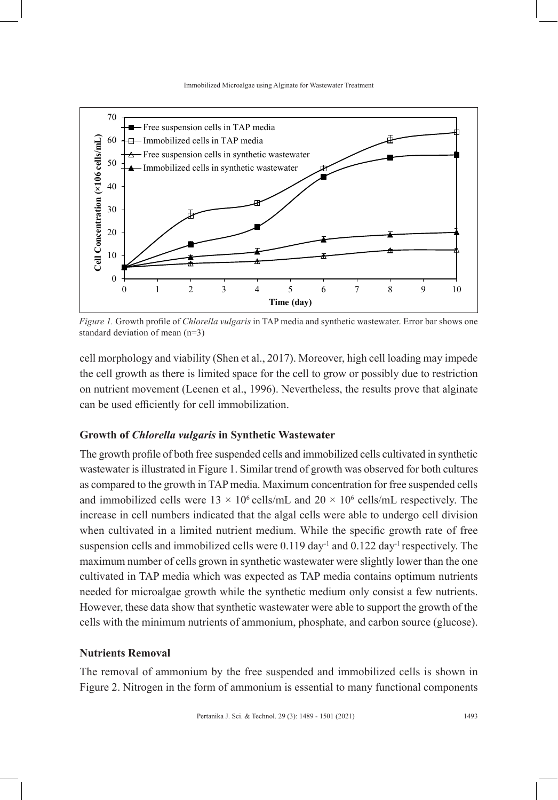Immobilized Microalgae using Alginate for Wastewater Treatment



*Figure 1.* Growth profile of *Chlorella vulgaris* in TAP media and synthetic wastewater. Error bar shows one standard deviation of mean (n=3)

cell morphology and viability (Shen et al., 2017). Moreover, high cell loading may impede the cell growth as there is limited space for the cell to grow or possibly due to restriction on nutrient movement (Leenen et al., 1996). Nevertheless, the results prove that alginate can be used efficiently for cell immobilization.

# **Growth of** *Chlorella vulgaris* **in Synthetic Wastewater**

The growth profile of both free suspended cells and immobilized cells cultivated in synthetic wastewater is illustrated in Figure 1. Similar trend of growth was observed for both cultures as compared to the growth in TAP media. Maximum concentration for free suspended cells and immobilized cells were  $13 \times 10^6$  cells/mL and  $20 \times 10^6$  cells/mL respectively. The increase in cell numbers indicated that the algal cells were able to undergo cell division when cultivated in a limited nutrient medium. While the specific growth rate of free suspension cells and immobilized cells were  $0.119 \text{ day}^{-1}$  and  $0.122 \text{ day}^{-1}$  respectively. The maximum number of cells grown in synthetic wastewater were slightly lower than the one cultivated in TAP media which was expected as TAP media contains optimum nutrients needed for microalgae growth while the synthetic medium only consist a few nutrients. However, these data show that synthetic wastewater were able to support the growth of the cells with the minimum nutrients of ammonium, phosphate, and carbon source (glucose).

# **Nutrients Removal**

The removal of ammonium by the free suspended and immobilized cells is shown in Figure 2. Nitrogen in the form of ammonium is essential to many functional components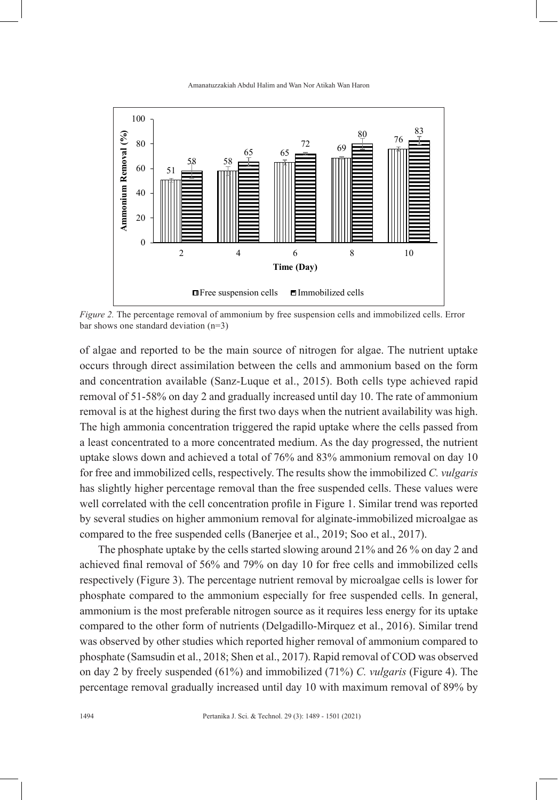

*Figure 2.* The percentage removal of ammonium by free suspension cells and immobilized cells. Error bar shows one standard deviation (n=3)

of algae and reported to be the main source of nitrogen for algae. The nutrient uptake occurs through direct assimilation between the cells and ammonium based on the form and concentration available (Sanz-Luque et al., 2015). Both cells type achieved rapid removal of 51-58% on day 2 and gradually increased until day 10. The rate of ammonium removal is at the highest during the first two days when the nutrient availability was high. The high ammonia concentration triggered the rapid uptake where the cells passed from a least concentrated to a more concentrated medium. As the day progressed, the nutrient uptake slows down and achieved a total of 76% and 83% ammonium removal on day 10 for free and immobilized cells, respectively. The results show the immobilized *C. vulgaris* has slightly higher percentage removal than the free suspended cells. These values were well correlated with the cell concentration profile in Figure 1. Similar trend was reported by several studies on higher ammonium removal for alginate-immobilized microalgae as compared to the free suspended cells (Banerjee et al., 2019; Soo et al., 2017).

The phosphate uptake by the cells started slowing around 21% and 26 % on day 2 and achieved final removal of 56% and 79% on day 10 for free cells and immobilized cells respectively (Figure 3). The percentage nutrient removal by microalgae cells is lower for phosphate compared to the ammonium especially for free suspended cells. In general, ammonium is the most preferable nitrogen source as it requires less energy for its uptake compared to the other form of nutrients (Delgadillo-Mirquez et al., 2016). Similar trend was observed by other studies which reported higher removal of ammonium compared to phosphate (Samsudin et al., 2018; Shen et al., 2017). Rapid removal of COD was observed on day 2 by freely suspended (61%) and immobilized (71%) *C. vulgaris* (Figure 4). The percentage removal gradually increased until day 10 with maximum removal of 89% by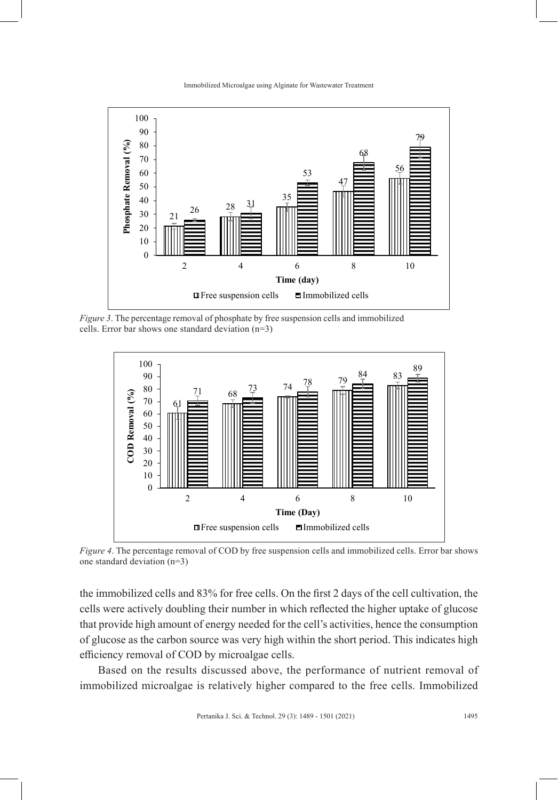Immobilized Microalgae using Alginate for Wastewater Treatment



*Figure 3*. The percentage removal of phosphate by free suspension cells and immobilized cells. Error bar shows one standard deviation (n=3)



*Figure 4*. The percentage removal of COD by free suspension cells and immobilized cells. Error bar shows one standard deviation (n=3)

the immobilized cells and 83% for free cells. On the first 2 days of the cell cultivation, the cells were actively doubling their number in which reflected the higher uptake of glucose that provide high amount of energy needed for the cell's activities, hence the consumption of glucose as the carbon source was very high within the short period. This indicates high efficiency removal of COD by microalgae cells.

Based on the results discussed above, the performance of nutrient removal of immobilized microalgae is relatively higher compared to the free cells. Immobilized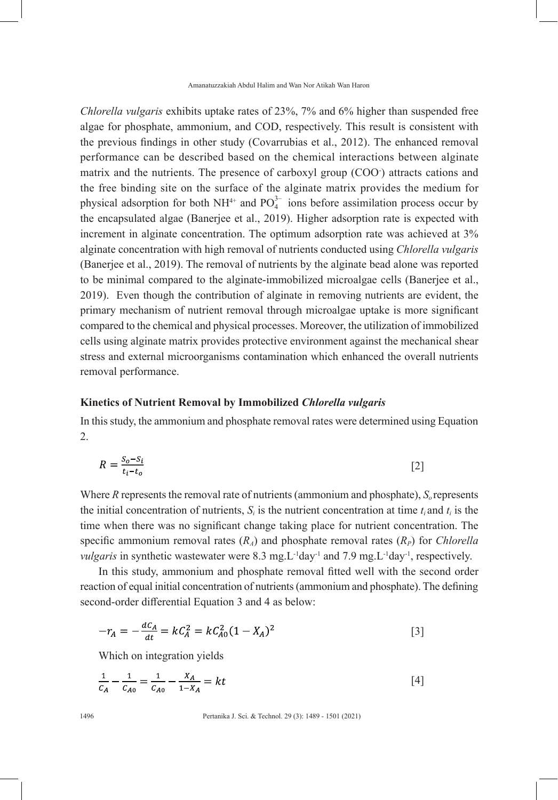Amanatuzzakiah Abdul Halim and Wan Nor Atikah Wan Haron

*Chlorella vulgaris* exhibits uptake rates of 23%, 7% and 6% higher than suspended free algae for phosphate, ammonium, and COD, respectively. This result is consistent with the previous findings in other study (Covarrubias et al., 2012). The enhanced removal performance can be described based on the chemical interactions between alginate matrix and the nutrients. The presence of carboxyl group (COO- ) attracts cations and the free binding site on the surface of the alginate matrix provides the medium for physical adsorption for both  $NH^{4+}$  and  $PO_4^{3-}$  ions before assimilation process occur by the encapsulated algae (Banerjee et al., 2019). Higher adsorption rate is expected with increment in alginate concentration. The optimum adsorption rate was achieved at 3% alginate concentration with high removal of nutrients conducted using *Chlorella vulgaris*  (Banerjee et al., 2019). The removal of nutrients by the alginate bead alone was reported to be minimal compared to the alginate-immobilized microalgae cells (Banerjee et al., 2019). Even though the contribution of alginate in removing nutrients are evident, the primary mechanism of nutrient removal through microalgae uptake is more significant compared to the chemical and physical processes. Moreover, the utilization of immobilized cells using alginate matrix provides protective environment against the mechanical shear stress and external microorganisms contamination which enhanced the overall nutrients removal performance.

## **Kinetics of Nutrient Removal by Immobilized** *Chlorella vulgaris*

In this study, the ammonium and phosphate removal rates were determined using Equation 2.

$$
R = \frac{S_o - S_i}{t_i - t_o} \tag{2}
$$

Where  $R$  represents the removal rate of nutrients (ammonium and phosphate),  $S<sub>o</sub>$  represents the initial concentration of nutrients,  $S_i$  is the nutrient concentration at time  $t_i$  and  $t_i$  is the time when there was no significant change taking place for nutrient concentration. The specific ammonium removal rates  $(R_A)$  and phosphate removal rates  $(R_P)$  for *Chlorella vulgaris* in synthetic wastewater were 8.3 mg. L<sup>-1</sup>day<sup>-1</sup> and 7.9 mg. L<sup>-1</sup>day<sup>-1</sup>, respectively.

In this study, ammonium and phosphate removal fitted well with the second order reaction of equal initial concentration of nutrients (ammonium and phosphate). The defining second-order differential Equation 3 and 4 as below:

$$
-r_A = -\frac{dC_A}{dt} = kC_A^2 = kC_{A0}^2(1 - X_A)^2
$$
 [3]

Which on integration yields

$$
\frac{1}{c_A} - \frac{1}{c_{A0}} = \frac{1}{c_{A0}} - \frac{X_A}{1 - X_A} = kt
$$
 [4]

1496 Pertanika J. Sci. & Technol. 29 (3): 1489 - 1501 (2021)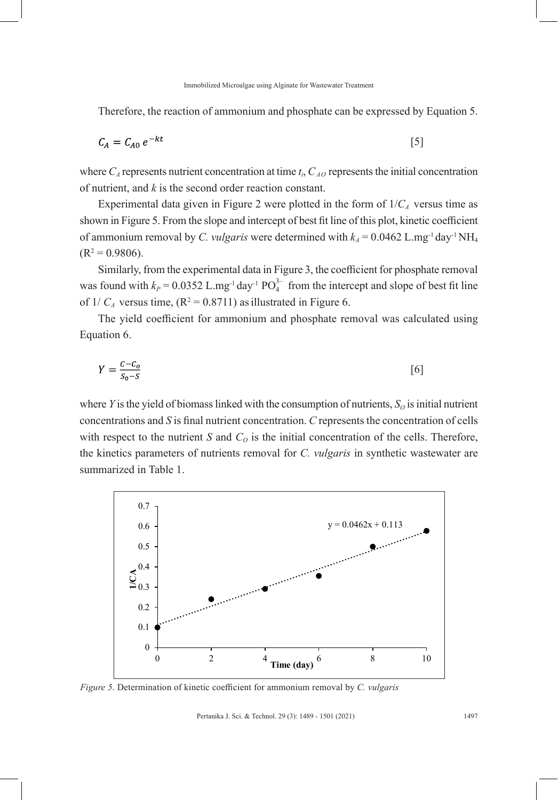Therefore, the reaction of ammonium and phosphate can be expressed by Equation 5.

$$
C_A = C_{A0} e^{-kt} \tag{5}
$$

where  $C_A$  represents nutrient concentration at time  $t_i$ ,  $C_{AO}$  represents the initial concentration of nutrient, and *k* is the second order reaction constant.

Experimental data given in Figure 2 were plotted in the form of  $1/C_A$  versus time as shown in Figure 5. From the slope and intercept of best fit line of this plot, kinetic coefficient of ammonium removal by *C. vulgaris* were determined with  $k_4 = 0.0462$  L.mg<sup>-1</sup> day<sup>-1</sup> NH<sub>4</sub>  $(R^2 = 0.9806).$ 

Similarly, from the experimental data in Figure 3, the coefficient for phosphate removal was found with  $k_P = 0.0352$  L.mg<sup>-1</sup> day<sup>-1</sup> PO<sub>4</sub><sup>-1</sup> from the intercept and slope of best fit line of  $1/C_A$  versus time,  $(R^2 = 0.8711)$  as illustrated in Figure 6.

The yield coefficient for ammonium and phosphate removal was calculated using Equation 6.

$$
Y = \frac{c - c_o}{s_o - s} \tag{6}
$$

where *Y* is the yield of biomass linked with the consumption of nutrients,  $S<sub>o</sub>$  is initial nutrient concentrations and *S* is final nutrient concentration. *C* represents the concentration of cells with respect to the nutrient *S* and  $C<sub>O</sub>$  is the initial concentration of the cells. Therefore, the kinetics parameters of nutrients removal for *C. vulgaris* in synthetic wastewater are summarized in Table 1.



*Figure 5*. Determination of kinetic coefficient for ammonium removal by *C. vulgaris*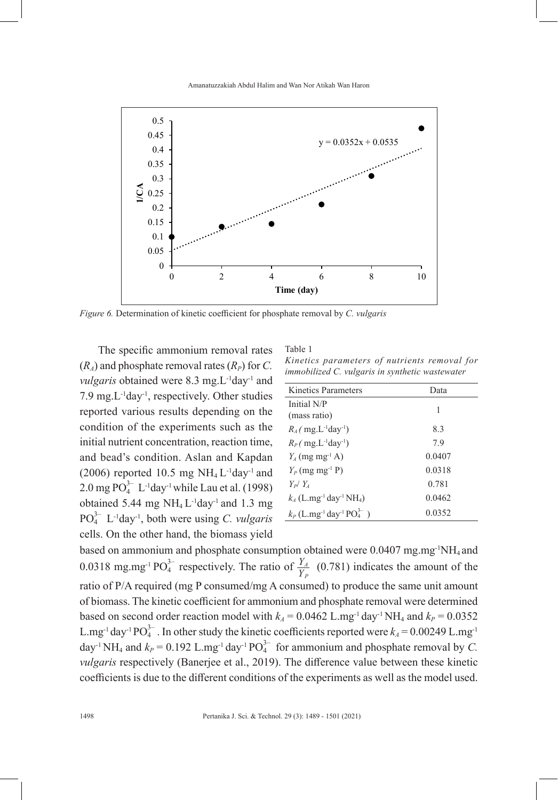

*Figure 6.* Determination of kinetic coefficient for phosphate removal by *C. vulgaris*

The specific ammonium removal rates  $(R_A)$  and phosphate removal rates  $(R_P)$  for *C*. *vulgaris* obtained were 8.3 mg.L<sup>-1</sup>day<sup>-1</sup> and 7.9 mg. $L^{-1}$ day<sup>-1</sup>, respectively. Other studies reported various results depending on the condition of the experiments such as the initial nutrient concentration, reaction time, and bead's condition. Aslan and Kapdan (2006) reported 10.5 mg  $NH<sub>4</sub> L<sup>-1</sup>day<sup>-1</sup>$  and  $2.0 \text{ mg } \text{PO}_4^{3-} \text{ L}^{-1} \text{day}^1 \text{ while } \text{Lau et al.} \text{ (1998)}$ obtained 5.44 mg  $NH_4 L^{-1}$ day<sup>-1</sup> and 1.3 mg PO3– 4 L-1day-1, both were using *C. vulgaris* cells. On the other hand, the biomass yield

Table 1 *Kinetics parameters of nutrients removal for immobilized C. vulgaris in synthetic wastewater*

| Kinetics Parameters                                                         | Data   |
|-----------------------------------------------------------------------------|--------|
| Initial N/P                                                                 | 1      |
| (mass ratio)                                                                |        |
| $R_4$ ( mg.L <sup>-1</sup> day <sup>-1</sup> )                              | 8.3    |
| $R_P$ (mg.L <sup>-1</sup> day <sup>-1</sup> )                               | 7.9    |
| $Y_4$ (mg mg <sup>-1</sup> A)                                               | 0.0407 |
| $Y_P$ (mg mg <sup>-1</sup> P)                                               | 0.0318 |
| $Y_P/Y_A$                                                                   | 0.781  |
| $k_4$ (L.mg <sup>-1</sup> day <sup>-1</sup> NH <sub>4</sub> )               | 0.0462 |
| $k_P$ (L.mg <sup>-1</sup> day <sup>-1</sup> PO <sub>4</sub> <sup>3-</sup> ) | 0.0352 |
|                                                                             |        |

based on ammonium and phosphate consumption obtained were  $0.0407$  mg.mg<sup>-1</sup>NH<sub>4</sub> and 0.0318 mg.mg<sup>-1</sup> PO<sub>4</sub><sup>3-</sup> respectively. The ratio of  $\frac{Y_A}{Y_P}$  (0.781) indicates the amount of the ratio of P/A required (mg P consumed/mg A consumed) to produce the same unit amount of biomass. The kinetic coefficient for ammonium and phosphate removal were determined based on second order reaction model with  $k_A = 0.0462$  L.mg<sup>-1</sup> day<sup>-1</sup> NH<sub>4</sub> and  $k_P = 0.0352$ L.mg<sup>-1</sup> day<sup>-1</sup> PO<sub>4</sub><sup>-1</sup>. In other study the kinetic coefficients reported were  $k_A = 0.00249$  L.mg<sup>-1</sup> day<sup>-1</sup> NH<sub>4</sub> and  $k_P = 0.192$  L.mg<sup>-1</sup> day<sup>-1</sup> PO<sub>4</sub><sup>2</sup> for ammonium and phosphate removal by *C*. *vulgaris* respectively (Banerjee et al., 2019). The difference value between these kinetic coefficients is due to the different conditions of the experiments as well as the model used.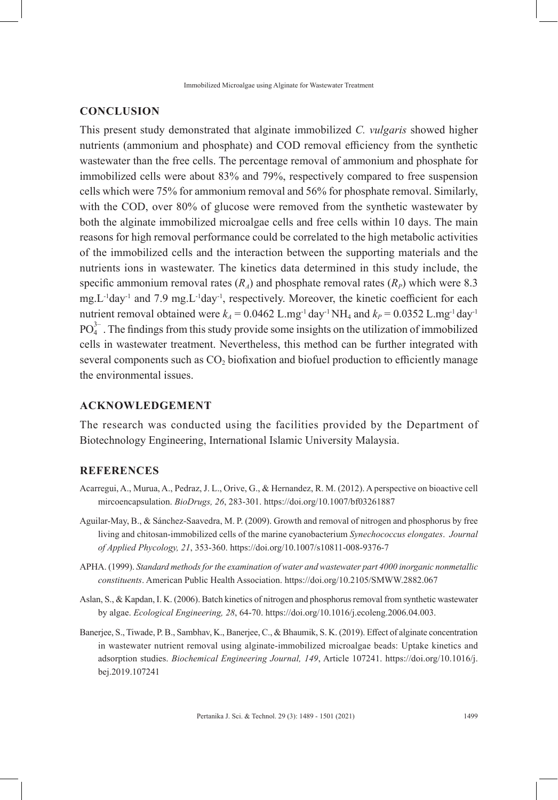# **CONCLUSION**

This present study demonstrated that alginate immobilized *C. vulgaris* showed higher nutrients (ammonium and phosphate) and COD removal efficiency from the synthetic wastewater than the free cells. The percentage removal of ammonium and phosphate for immobilized cells were about 83% and 79%, respectively compared to free suspension cells which were 75% for ammonium removal and 56% for phosphate removal. Similarly, with the COD, over 80% of glucose were removed from the synthetic wastewater by both the alginate immobilized microalgae cells and free cells within 10 days. The main reasons for high removal performance could be correlated to the high metabolic activities of the immobilized cells and the interaction between the supporting materials and the nutrients ions in wastewater. The kinetics data determined in this study include, the specific ammonium removal rates  $(R_A)$  and phosphate removal rates  $(R_P)$  which were 8.3 mg.L-1day-1 and 7.9 mg.L-1day-1, respectively. Moreover, the kinetic coefficient for each nutrient removal obtained were  $k_A = 0.0462$  L.mg<sup>-1</sup> day<sup>-1</sup> NH<sub>4</sub> and  $k_P = 0.0352$  L.mg<sup>-1</sup> day<sup>-1</sup>  $PO_4^{3-}$ . The findings from this study provide some insights on the utilization of immobilized cells in wastewater treatment. Nevertheless, this method can be further integrated with several components such as  $CO<sub>2</sub>$  biofixation and biofuel production to efficiently manage the environmental issues.

#### **ACKNOWLEDGEMENT**

The research was conducted using the facilities provided by the Department of Biotechnology Engineering, International Islamic University Malaysia.

# **REFERENCES**

- Acarregui, A., Murua, A., Pedraz, J. L., Orive, G., & Hernandez, R. M. (2012). A perspective on bioactive cell mircoencapsulation. *BioDrugs, 26*, 283-301. https://doi.org/10.1007/bf03261887
- Aguilar-May, B., & Sánchez-Saavedra, M. P. (2009). Growth and removal of nitrogen and phosphorus by free living and chitosan-immobilized cells of the marine cyanobacterium *Synechococcus elongates*. *Journal of Applied Phycology, 21*, 353-360. https://doi.org/10.1007/s10811-008-9376-7
- APHA. (1999). *Standard methods for the examination of water and wastewater part 4000 inorganic nonmetallic constituents*. American Public Health Association. https://doi.org/10.2105/SMWW.2882.067
- Aslan, S., & Kapdan, I. K. (2006). Batch kinetics of nitrogen and phosphorus removal from synthetic wastewater by algae. *Ecological Engineering, 28*, 64-70. https://doi.org/10.1016/j.ecoleng.2006.04.003.
- Banerjee, S., Tiwade, P. B., Sambhav, K., Banerjee, C., & Bhaumik, S. K. (2019). Effect of alginate concentration in wastewater nutrient removal using alginate-immobilized microalgae beads: Uptake kinetics and adsorption studies. *Biochemical Engineering Journal, 149*, Article 107241. https://doi.org/10.1016/j. bej.2019.107241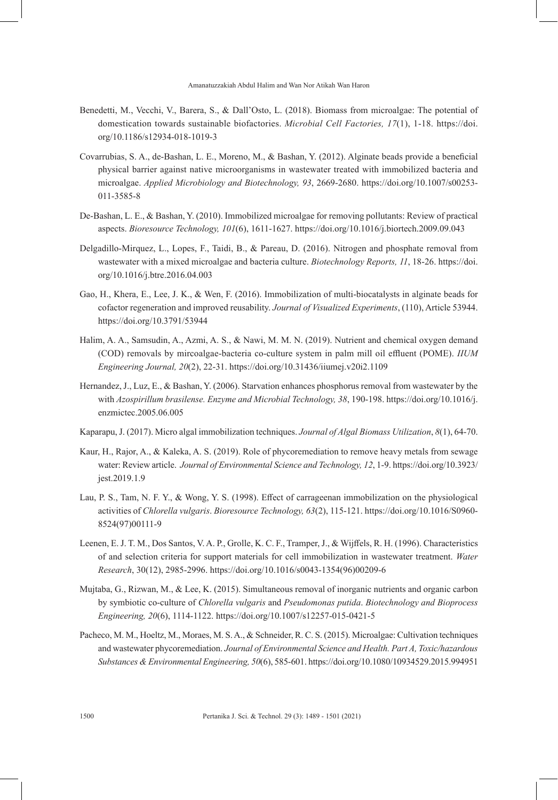- Benedetti, M., Vecchi, V., Barera, S., & Dall'Osto, L. (2018). Biomass from microalgae: The potential of domestication towards sustainable biofactories. *Microbial Cell Factories, 17*(1), 1-18. https://doi. org/10.1186/s12934-018-1019-3
- Covarrubias, S. A., de-Bashan, L. E., Moreno, M., & Bashan, Y. (2012). Alginate beads provide a beneficial physical barrier against native microorganisms in wastewater treated with immobilized bacteria and microalgae. *Applied Microbiology and Biotechnology, 93*, 2669-2680. https://doi.org/10.1007/s00253- 011-3585-8
- De-Bashan, L. E., & Bashan, Y. (2010). Immobilized microalgae for removing pollutants: Review of practical aspects. *Bioresource Technology, 101*(6), 1611-1627. https://doi.org/10.1016/j.biortech.2009.09.043
- Delgadillo-Mirquez, L., Lopes, F., Taidi, B., & Pareau, D. (2016). Nitrogen and phosphate removal from wastewater with a mixed microalgae and bacteria culture. *Biotechnology Reports, 11*, 18-26. https://doi. org/10.1016/j.btre.2016.04.003
- Gao, H., Khera, E., Lee, J. K., & Wen, F. (2016). Immobilization of multi-biocatalysts in alginate beads for cofactor regeneration and improved reusability. *Journal of Visualized Experiments*, (110), Article 53944. https://doi.org/10.3791/53944
- Halim, A. A., Samsudin, A., Azmi, A. S., & Nawi, M. M. N. (2019). Nutrient and chemical oxygen demand (COD) removals by mircoalgae-bacteria co-culture system in palm mill oil effluent (POME). *IIUM Engineering Journal, 20*(2), 22-31. https://doi.org/10.31436/iiumej.v20i2.1109
- Hernandez, J., Luz, E., & Bashan, Y. (2006). Starvation enhances phosphorus removal from wastewater by the with *Azospirillum brasilense. Enzyme and Microbial Technology, 38*, 190-198. https://doi.org/10.1016/j. enzmictec.2005.06.005
- Kaparapu, J. (2017). Micro algal immobilization techniques. *Journal of Algal Biomass Utilization*, *8*(1), 64-70.
- Kaur, H., Rajor, A., & Kaleka, A. S. (2019). Role of phycoremediation to remove heavy metals from sewage water: Review article. *Journal of Environmental Science and Technology, 12*, 1-9. https://doi.org/10.3923/ jest.2019.1.9
- Lau, P. S., Tam, N. F. Y., & Wong, Y. S. (1998). Effect of carrageenan immobilization on the physiological activities of *Chlorella vulgaris*. *Bioresource Technology, 63*(2), 115-121. https://doi.org/10.1016/S0960- 8524(97)00111-9
- Leenen, E. J. T. M., Dos Santos, V. A. P., Grolle, K. C. F., Tramper, J., & Wijffels, R. H. (1996). Characteristics of and selection criteria for support materials for cell immobilization in wastewater treatment. *Water Research*, 30(12), 2985-2996. https://doi.org/10.1016/s0043-1354(96)00209-6
- Mujtaba, G., Rizwan, M., & Lee, K. (2015). Simultaneous removal of inorganic nutrients and organic carbon by symbiotic co-culture of *Chlorella vulgaris* and *Pseudomonas putida*. *Biotechnology and Bioprocess Engineering, 20*(6), 1114-1122. https://doi.org/10.1007/s12257-015-0421-5
- Pacheco, M. M., Hoeltz, M., Moraes, M. S. A., & Schneider, R. C. S. (2015). Microalgae: Cultivation techniques and wastewater phycoremediation. *Journal of Environmental Science and Health. Part A, Toxic/hazardous Substances & Environmental Engineering, 50*(6), 585-601. https://doi.org/10.1080/10934529.2015.994951